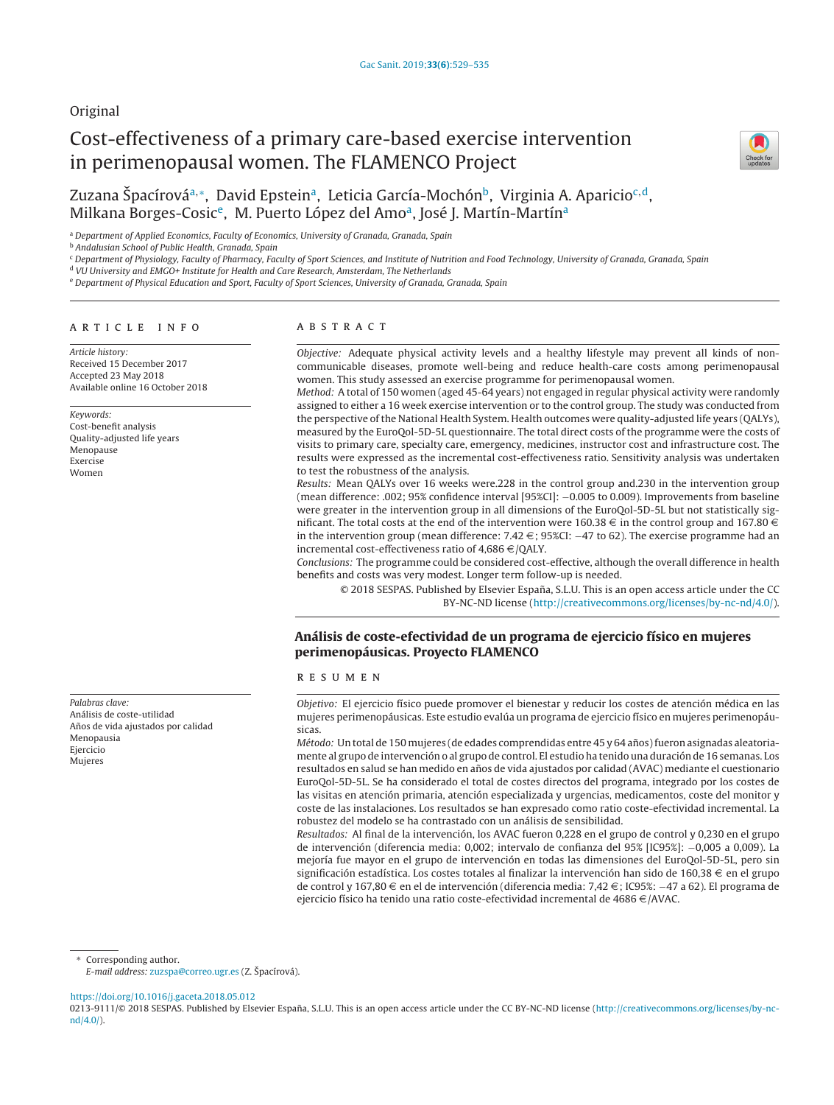## Original

# Cost-effectiveness of a primary care-based exercise intervention in perimenopausal women. The FLAMENCO Project



## Zuzana Špacírová<sup>a,∗</sup>, David Epstein<sup>a</sup>, Leticia García-Mochón<sup>b</sup>, Virginia A. Aparicio<sup>c,d</sup>, Milkana Borges-Cosic<sup>e</sup>, M. Puerto López del Amo<sup>a</sup>, José J. Martín-Martín<sup>a</sup>

a Department of Applied Economics, Faculty of Economics, University of Granada, Granada, Spain

**b Andalusian School of Public Health, Granada, Spain** 

<sup>c</sup> Department of Physiology, Faculty of Pharmacy, Faculty of Sport Sciences, and Institute of Nutrition and Food Technology, University of Granada, Granada, Spain

<sup>d</sup> VU University and EMGO+ Institute for Health and Care Research, Amsterdam, The Netherlands

<sup>e</sup> Department of Physical Education and Sport, Faculty of Sport Sciences, University of Granada, Granada, Spain

## a r t i c l e i n f o

Article history: Received 15 December 2017 Accepted 23 May 2018 Available online 16 October 2018

Keywords: Cost-benefit analysis Quality-adjusted life years Menopause Exercise Women

Palabras clave: Análisis de coste-utilidad Años de vida ajustados por calidad Menopausia Ejercicio Mujeres

## A B S T R A C T

Objective: Adequate physical activity levels and a healthy lifestyle may prevent all kinds of noncommunicable diseases, promote well-being and reduce health-care costs among perimenopausal women. This study assessed an exercise programme for perimenopausal women.

Method: A total of 150 women (aged 45-64 years) not engaged in regular physical activity were randomly assigned to either a 16 week exercise intervention or to the control group. The study was conducted from the perspective ofthe National Health System. Health outcomes were quality-adjusted life years (QALYs), measured by the EuroQol-5D-5L questionnaire. The total direct costs of the programme were the costs of visits to primary care, specialty care, emergency, medicines, instructor cost and infrastructure cost. The results were expressed as the incremental cost-effectiveness ratio. Sensitivity analysis was undertaken to test the robustness of the analysis.

Results: Mean QALYs over 16 weeks were.228 in the control group and.230 in the intervention group (mean difference: .002; 95% confidence interval [95%CI]: −0.005 to 0.009). Improvements from baseline were greater in the intervention group in all dimensions of the EuroQol-5D-5L but not statistically significant. The total costs at the end of the intervention were 160.38  $\in$  in the control group and 167.80  $\in$ in the intervention group (mean difference:  $7.42 \in \frac{1}{2}$  ; 95%CI: −47 to 62). The exercise programme had an incremental cost-effectiveness ratio of  $4,686 \in$  /QALY.

Conclusions: The programme could be considered cost-effective, although the overall difference in health benefits and costs was very modest. Longer term follow-up is needed.

© 2018 SESPAS. Published by Elsevier España, S.L.U. This is an open access article under the CC BY-NC-ND license [\(http://creativecommons.org/licenses/by-nc-nd/4.0/](http://creativecommons.org/licenses/by-nc-nd/4.0/)).

## **Análisis de coste-efectividad de un programa de ejercicio físico en mujeres perimenopáusicas. Proyecto FLAMENCO**

#### r e s u m e n

Objetivo: El ejercicio físico puede promover el bienestar y reducir los costes de atención médica en las mujeres perimenopáusicas. Este estudio evalúa un programa de ejercicio físico en mujeres perimenopáusicas.

Método: Un total de 150 mujeres (de edades comprendidas entre 45 y 64 años) fueron asignadas aleatoriamente al grupo de intervención o al grupo de control. El estudio ha tenido una duración de 16 semanas. Los resultados en salud se han medido en años de vida ajustados por calidad (AVAC) mediante el cuestionario EuroQol-5D-5L. Se ha considerado el total de costes directos del programa, integrado por los costes de las visitas en atención primaria, atención especializada y urgencias, medicamentos, coste del monitor y coste de las instalaciones. Los resultados se han expresado como ratio coste-efectividad incremental. La robustez del modelo se ha contrastado con un análisis de sensibilidad.

Resultados: Al final de la intervención, los AVAC fueron 0,228 en el grupo de control y 0,230 en el grupo de intervención (diferencia media: 0,002; intervalo de confianza del 95% [IC95%]: −0,005 a 0,009). La mejoría fue mayor en el grupo de intervención en todas las dimensiones del EuroQol-5D-5L, pero sin significación estadística. Los costes totales al finalizar la intervención han sido de 160,38  $\in$  en el grupo de control y 167,80 € en el de intervención (diferencia media: 7,42 €; IC95%: −47 a 62). El programa de ejercicio físico ha tenido una ratio coste-efectividad incremental de 4686  $\in$  /AVAC.

Corresponding author.

E-mail address: [zuzspa@correo.ugr.es](mailto:zuzspa@correo.ugr.es) (Z. Špacírová).

<https://doi.org/10.1016/j.gaceta.2018.05.012>

0213-9111/© 2018 SESPAS. Published by Elsevier España, S.L.U. This is an open access article under the CC BY-NC-ND license [\(http://creativecommons.org/licenses/by-nc](http://creativecommons.org/licenses/by-nc-nd/4.0/)[nd/4.0/\)](http://creativecommons.org/licenses/by-nc-nd/4.0/).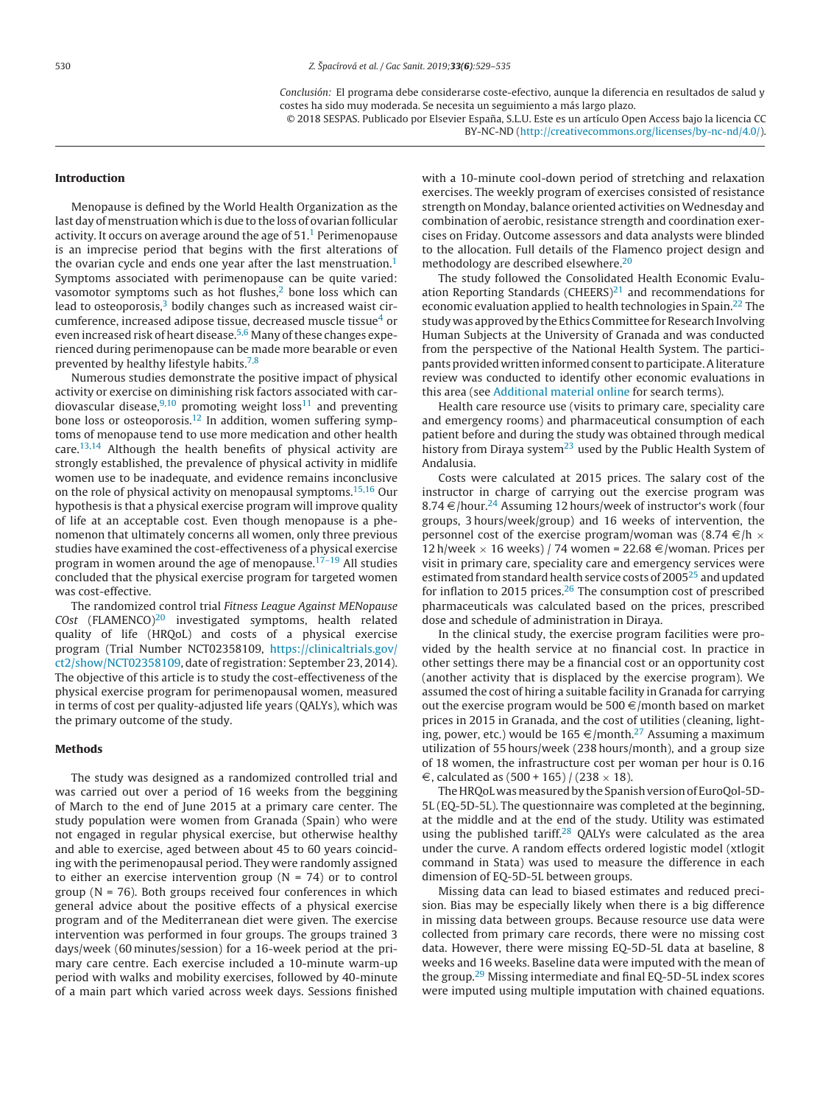Conclusión: El programa debe considerarse coste-efectivo, aunque la diferencia en resultados de salud y costes ha sido muy moderada. Se necesita un seguimiento a más largo plazo.

© 2018 SESPAS. Publicado por Elsevier España, S.L.U. Este es un artículo Open Access bajo la licencia CC BY-NC-ND [\(http://creativecommons.org/licenses/by-nc-nd/4.0/\)](http://creativecommons.org/licenses/by-nc-nd/4.0/).

## **Introduction**

Menopause is defined by the World Health Organization as the last day of menstruation which is due to the loss of ovarian follicular activity. It occurs on average around the age of  $51<sup>1</sup>$  $51<sup>1</sup>$  $51<sup>1</sup>$  Perimenopause is an imprecise period that begins with the first alterations of the ovarian cycle and ends one year after the last menstruation.<sup>1</sup> Symptoms associated with perimenopause can be quite varied: vasomotor symptoms such as hot flushes, $2$  bone loss which can lead to osteoporosis, $3$  bodily changes such as increased waist circumference, increased adipose tissue, decreased muscle tissue<sup>4</sup> or even increased risk of heart disease.<sup>5,6</sup> Many of these changes experienced during perimenopause can be made more bearable or even prevented by healthy lifestyle habits.<sup>[7,8](#page-6-0)</sup>

Numerous studies demonstrate the positive impact of physical activity or exercise on diminishing risk factors associated with cardiovascular disease, $9,10$  promoting weight loss<sup>11</sup> and preventing bone loss or osteoporosis.<sup>12</sup> In addition, women suffering symptoms of menopause tend to use more medication and other health care.[13,14](#page-6-0) Although the health benefits of physical activity are strongly established, the prevalence of physical activity in midlife women use to be inadequate, and evidence remains inconclusive on the role of physical activity on menopausal symptoms.[15,16](#page-6-0) Our hypothesis is that a physical exercise program will improve quality of life at an acceptable cost. Even though menopause is a phenomenon that ultimately concerns all women, only three previous studies have examined the cost-effectiveness of a physical exercise program in women around the age of menopause.<sup>[17–19](#page-6-0)</sup> All studies concluded that the physical exercise program for targeted women was cost-effective.

The randomized control trial Fitness League Against MENopause  $Cost$  (FLAMENCO)<sup>[20](#page-6-0)</sup> investigated symptoms, health related quality of life (HRQoL) and costs of a physical exercise program (Trial Number NCT02358109, [https://clinicaltrials.gov/](https://clinicaltrials.gov/ct2/show/NCT02358109) [ct2/show/NCT02358109](https://clinicaltrials.gov/ct2/show/NCT02358109), date of registration: September 23, 2014). The objective of this article is to study the cost-effectiveness of the physical exercise program for perimenopausal women, measured in terms of cost per quality-adjusted life years (QALYs), which was the primary outcome of the study.

#### **Methods**

The study was designed as a randomized controlled trial and was carried out over a period of 16 weeks from the beggining of March to the end of June 2015 at a primary care center. The study population were women from Granada (Spain) who were not engaged in regular physical exercise, but otherwise healthy and able to exercise, aged between about 45 to 60 years coinciding with the perimenopausal period. They were randomly assigned to either an exercise intervention group ( $N = 74$ ) or to control group (N = 76). Both groups received four conferences in which general advice about the positive effects of a physical exercise program and of the Mediterranean diet were given. The exercise intervention was performed in four groups. The groups trained 3 days/week (60 minutes/session) for a 16-week period at the primary care centre. Each exercise included a 10-minute warm-up period with walks and mobility exercises, followed by 40-minute of a main part which varied across week days. Sessions finished

with a 10-minute cool-down period of stretching and relaxation exercises. The weekly program of exercises consisted of resistance strength on Monday, balance oriented activities on Wednesday and combination of aerobic, resistance strength and coordination exercises on Friday. Outcome assessors and data analysts were blinded to the allocation. Full details of the Flamenco project design and methodology are described elsewhere[.20](#page-6-0)

The study followed the Consolidated Health Economic Evaluation Reporting Standards (CHEERS) $^{21}$  $^{21}$  $^{21}$  and recommendations for economic evaluation applied to health technologies in Spain.<sup>[22](#page-6-0)</sup> The study was approved by the Ethics Committee for Research Involving Human Subjects at the University of Granada and was conducted from the perspective of the National Health System. The participants provided written informed consent to participate. A literature review was conducted to identify other economic evaluations in this area (see [Additional](#page-6-0) [material](#page-6-0) [online](#page-6-0) for search terms).

Health care resource use (visits to primary care, speciality care and emergency rooms) and pharmaceutical consumption of each patient before and during the study was obtained through medical history from Diraya system<sup>[23](#page-6-0)</sup> used by the Public Health System of Andalusia.

Costs were calculated at 2015 prices. The salary cost of the instructor in charge of carrying out the exercise program was 8.74  $\in$ /hour.<sup>[24](#page-6-0)</sup> Assuming 12 hours/week of instructor's work (four groups, 3 hours/week/group) and 16 weeks of intervention, the personnel cost of the exercise program/woman was  $(8.74 \epsilon/h \times$  $12$  h/week  $\times$  16 weeks) / 74 women = 22.68  $\in$ /woman. Prices per visit in primary care, speciality care and emergency services were estimated from standard health service costs of 2005<sup>25</sup> and updated for inflation to 2015 prices. $26$  The consumption cost of prescribed pharmaceuticals was calculated based on the prices, prescribed dose and schedule of administration in Diraya.

In the clinical study, the exercise program facilities were provided by the health service at no financial cost. In practice in other settings there may be a financial cost or an opportunity cost (another activity that is displaced by the exercise program). We assumed the cost of hiring a suitable facility in Granada for carrying out the exercise program would be  $500 \in$ /month based on market prices in 2015 in Granada, and the cost of utilities (cleaning, lighting, power, etc.) would be 165  $\in$ /month.<sup>27</sup> Assuming a maximum utilization of 55 hours/week (238 hours/month), and a group size of 18 women, the infrastructure cost per woman per hour is 0.16 €, calculated as  $(500 + 165) / (238 \times 18)$ .

The HRQoL was measured by the Spanish version of EuroQol-5D-5L (EQ-5D-5L). The questionnaire was completed at the beginning, at the middle and at the end of the study. Utility was estimated using the published tariff.<sup>28</sup> QALYs were calculated as the area under the curve. A random effects ordered logistic model (xtlogit command in Stata) was used to measure the difference in each dimension of EQ-5D-5L between groups.

Missing data can lead to biased estimates and reduced precision. Bias may be especially likely when there is a big difference in missing data between groups. Because resource use data were collected from primary care records, there were no missing cost data. However, there were missing EQ-5D-5L data at baseline, 8 weeks and 16 weeks. Baseline data were imputed with the mean of the group[.29](#page-6-0) Missing intermediate and final EQ-5D-5L index scores were imputed using multiple imputation with chained equations.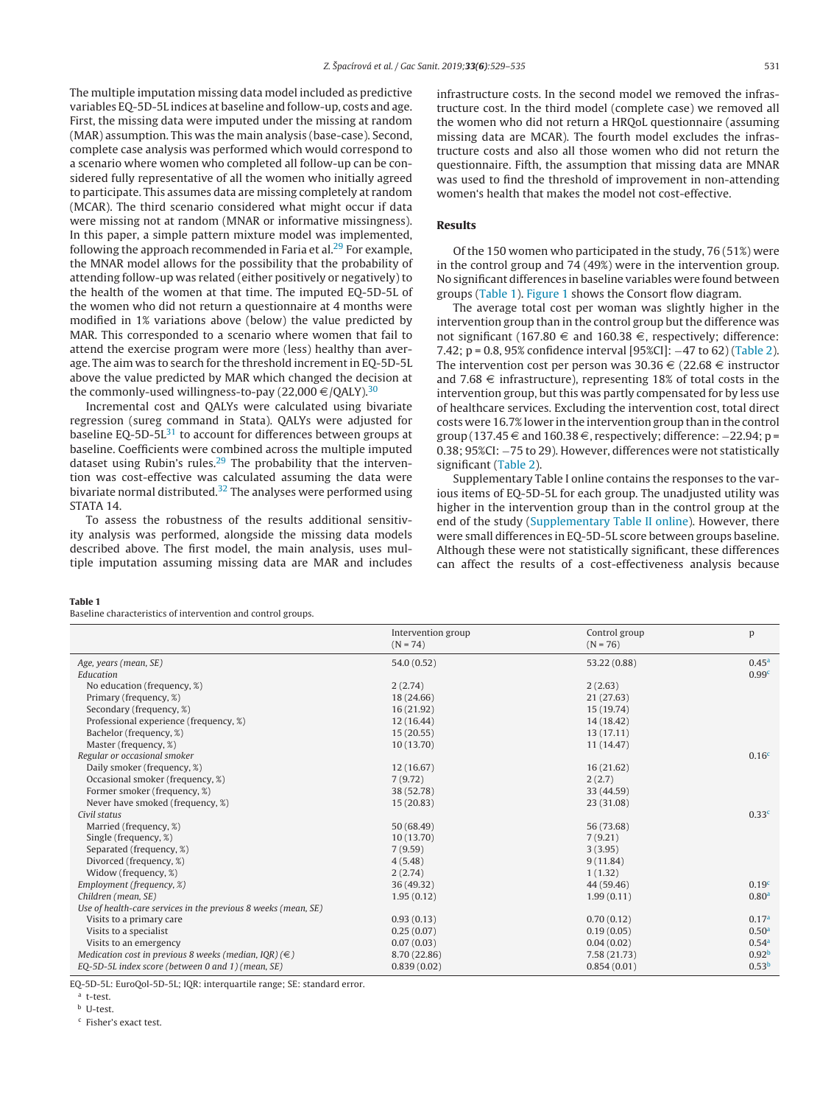The multiple imputation missing data model included as predictive variables EQ-5D-5L indices at baseline and follow-up, costs and age. First, the missing data were imputed under the missing at random (MAR) assumption. This was the main analysis (base-case). Second, complete case analysis was performed which would correspond to a scenario where women who completed all follow-up can be considered fully representative of all the women who initially agreed to participate. This assumes data are missing completely at random (MCAR). The third scenario considered what might occur if data were missing not at random (MNAR or informative missingness). In this paper, a simple pattern mixture model was implemented, following the approach recommended in Faria et al. $^{29}$  For example, the MNAR model allows for the possibility that the probability of attending follow-up was related (either positively or negatively) to the health of the women at that time. The imputed EQ-5D-5L of the women who did not return a questionnaire at 4 months were modified in 1% variations above (below) the value predicted by MAR. This corresponded to a scenario where women that fail to attend the exercise program were more (less) healthy than average. The aim was to search for the threshold increment in EQ-5D-5L above the value predicted by MAR which changed the decision at the commonly-used willingness-to-pay (22,000  $\in$  /QALY).<sup>[30](#page-6-0)</sup>

Incremental cost and QALYs were calculated using bivariate regression (sureg command in Stata). QALYs were adjusted for baseline EQ-5D-5L $31$  to account for differences between groups at baseline. Coefficients were combined across the multiple imputed dataset using Rubin's rules.<sup>29</sup> The probability that the intervention was cost-effective was calculated assuming the data were bivariate normal distributed.<sup>[32](#page-6-0)</sup> The analyses were performed using STATA 14.

To assess the robustness of the results additional sensitivity analysis was performed, alongside the missing data models described above. The first model, the main analysis, uses multiple imputation assuming missing data are MAR and includes infrastructure costs. In the second model we removed the infrastructure cost. In the third model (complete case) we removed all the women who did not return a HRQoL questionnaire (assuming missing data are MCAR). The fourth model excludes the infrastructure costs and also all those women who did not return the questionnaire. Fifth, the assumption that missing data are MNAR was used to find the threshold of improvement in non-attending women's health that makes the model not cost-effective.

## **Results**

Of the 150 women who participated in the study, 76 (51%) were in the control group and 74 (49%) were in the intervention group. No significant differences in baseline variables were found between groups (Table 1). [Figure](#page-3-0) 1 shows the Consort flow diagram.

The average total cost per woman was slightly higher in the intervention group than in the control group but the difference was not significant (167.80  $\in$  and 160.38  $\in$ , respectively; difference: 7.42; p = 0.8, 95% confidence interval [95%CI]: −47 to 62) ([Table](#page-3-0) 2). The intervention cost per person was  $30.36 \in (22.68 \in$  instructor and 7.68  $\in$  infrastructure), representing 18% of total costs in the intervention group, but this was partly compensated for by less use of healthcare services. Excluding the intervention cost, total direct costs were 16.7% lower in the intervention group than in the control group (137.45  $\in$  and 160.38  $\in$ , respectively; difference:  $-22.94$ ; p = 0.38; 95%CI: −75 to 29). However, differences were not statistically significant [\(Table](#page-3-0) 2).

Supplementary Table I online contains the responses to the various items of EQ-5D-5L for each group. The unadjusted utility was higher in the intervention group than in the control group at the end of the study ([Supplementary](#page-6-0) [Table](#page-6-0) [II](#page-6-0) [online\).](#page-6-0) However, there were small differences in EQ-5D-5L score between groups baseline. Although these were not statistically significant, these differences can affect the results of a cost-effectiveness analysis because

#### **Table 1**

Baseline characteristics of intervention and control groups.

|                                                                | Intervention group<br>$(N = 74)$ | Control group<br>$(N = 76)$ | p                 |
|----------------------------------------------------------------|----------------------------------|-----------------------------|-------------------|
| Age, years (mean, SE)                                          | 54.0 (0.52)                      | 53.22 (0.88)                | 0.45 <sup>a</sup> |
| Education                                                      |                                  |                             | 0.99 <sup>c</sup> |
| No education (frequency, %)                                    | 2(2.74)                          | 2(2.63)                     |                   |
| Primary (frequency, %)                                         | 18 (24.66)                       | 21(27.63)                   |                   |
| Secondary (frequency, %)                                       | 16(21.92)                        | 15 (19.74)                  |                   |
| Professional experience (frequency, %)                         | 12 (16.44)                       | 14 (18.42)                  |                   |
| Bachelor (frequency, %)                                        | 15(20.55)                        | 13(17.11)                   |                   |
| Master (frequency, %)                                          | 10(13.70)                        | 11 (14.47)                  |                   |
| Regular or occasional smoker                                   |                                  |                             | 0.16 <sup>c</sup> |
| Daily smoker (frequency, %)                                    | 12(16.67)                        | 16(21.62)                   |                   |
| Occasional smoker (frequency, %)                               | 7(9.72)                          | 2(2.7)                      |                   |
| Former smoker (frequency, %)                                   | 38 (52.78)                       | 33 (44.59)                  |                   |
| Never have smoked (frequency, %)                               | 15(20.83)                        | 23 (31.08)                  |                   |
| Civil status                                                   |                                  |                             | 0.33 <sup>c</sup> |
| Married (frequency, %)                                         | 50 (68.49)                       | 56 (73.68)                  |                   |
| Single (frequency, %)                                          | 10(13.70)                        | 7(9.21)                     |                   |
| Separated (frequency, %)                                       | 7(9.59)                          | 3(3.95)                     |                   |
| Divorced (frequency, %)                                        | 4(5.48)                          | 9(11.84)                    |                   |
| Widow (frequency, %)                                           | 2(2.74)                          | 1(1.32)                     |                   |
| Employment (frequency, %)                                      | 36 (49.32)                       | 44 (59.46)                  | 0.19 <sup>c</sup> |
| Children (mean, SE)                                            | 1.95(0.12)                       | 1.99(0.11)                  | 0.80 <sup>a</sup> |
| Use of health-care services in the previous 8 weeks (mean, SE) |                                  |                             |                   |
| Visits to a primary care                                       | 0.93(0.13)                       | 0.70(0.12)                  | 0.17 <sup>a</sup> |
| Visits to a specialist                                         | 0.25(0.07)                       | 0.19(0.05)                  | 0.50 <sup>a</sup> |
| Visits to an emergency                                         | 0.07(0.03)                       | 0.04(0.02)                  | 0.54 <sup>a</sup> |
| Medication cost in previous 8 weeks (median, IQR) ( $\in$ )    | 8.70 (22.86)                     | 7.58 (21.73)                | 0.92 <sup>b</sup> |
| EQ-5D-5L index score (between 0 and 1) (mean, SE)              | 0.839(0.02)                      | 0.854(0.01)                 | 0.53 <sup>b</sup> |

EQ-5D-5L: EuroQol-5D-5L; IQR: interquartile range; SE: standard error.

<sup>a</sup> t-test.

<sup>b</sup> U-test.

<sup>c</sup> Fisher's exact test.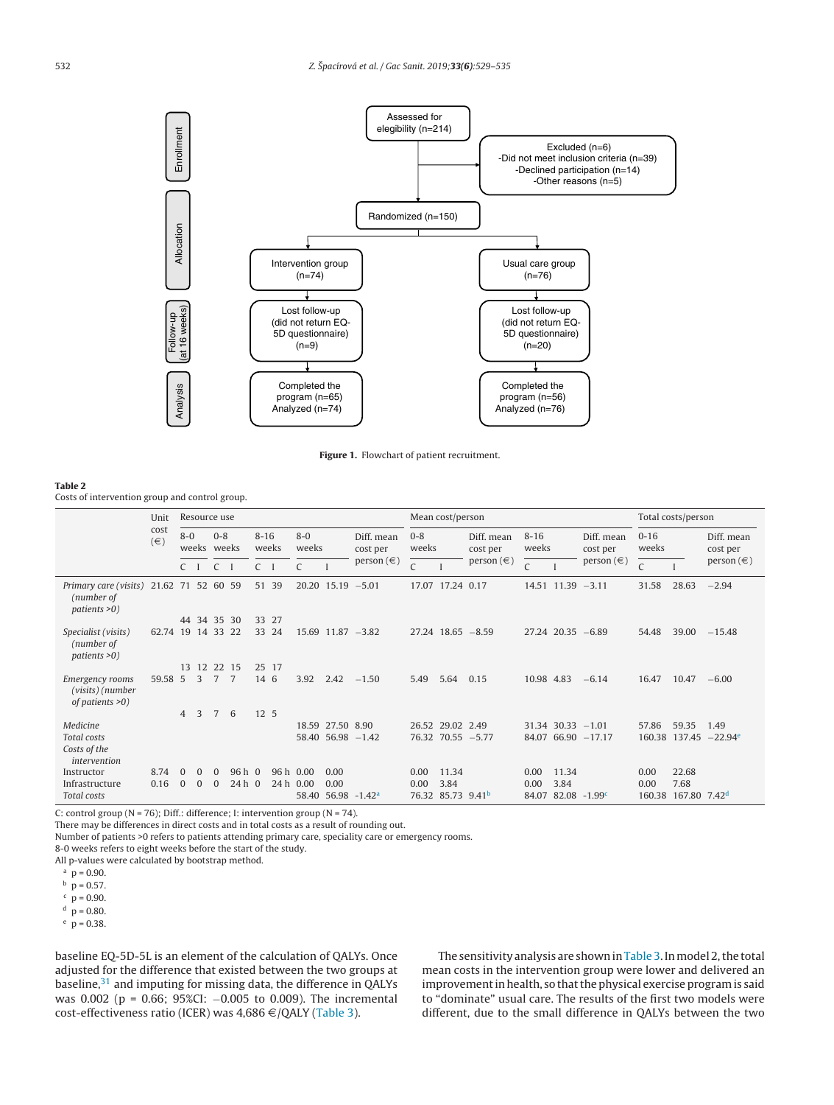<span id="page-3-0"></span>

**Figure 1.** Flowchart of patient recruitment.

#### **Table 2**

Costs of intervention group and control group.

|                                                           | Unit<br>cost<br>$(\in)$ | Resource use   |             |                |         |       |       | Mean cost/person |                  |                             |                             |                         |                       | Total costs/person |                         |                             |        |                          |                |         |  |          |       |                  |  |                        |                  |  |                        |                   |  |                        |                   |  |                        |
|-----------------------------------------------------------|-------------------------|----------------|-------------|----------------|---------|-------|-------|------------------|------------------|-----------------------------|-----------------------------|-------------------------|-----------------------|--------------------|-------------------------|-----------------------------|--------|--------------------------|----------------|---------|--|----------|-------|------------------|--|------------------------|------------------|--|------------------------|-------------------|--|------------------------|-------------------|--|------------------------|
|                                                           |                         | $8-0$          |             | weeks weeks    |         |       |       |                  |                  |                             |                             |                         |                       |                    |                         |                             |        |                          |                | $0 - 8$ |  | $8 - 16$ | weeks | $8 - 0$<br>weeks |  | Diff. mean<br>cost per | $0 - 8$<br>weeks |  | Diff. mean<br>cost per | $8 - 16$<br>weeks |  | Diff. mean<br>cost per | $0 - 16$<br>weeks |  | Diff. mean<br>cost per |
|                                                           |                         | $C \quad I$    |             | $\mathsf{C}$   |         | $C$ I |       | $\mathsf{C}$     |                  | person $(\in)$              | $\mathcal{C}_{\mathcal{C}}$ |                         | person $(\in)$        | C                  |                         | person $(\in)$              | Ċ      |                          | person $(\in)$ |         |  |          |       |                  |  |                        |                  |  |                        |                   |  |                        |                   |  |                        |
| Primary care (visits)<br>(number of<br>patients $>0$ )    | 21.62 71 52 60 59       |                |             |                |         |       | 51 39 |                  |                  | $20.20$ 15.19 $-5.01$       |                             | 17.07 17.24 0.17        |                       |                    | $14.51$ $11.39$ $-3.11$ |                             | 31.58  | 28.63                    | $-2.94$        |         |  |          |       |                  |  |                        |                  |  |                        |                   |  |                        |                   |  |                        |
|                                                           |                         |                | 44 34 35 30 |                |         |       | 33 27 |                  |                  |                             |                             |                         |                       |                    |                         |                             |        |                          |                |         |  |          |       |                  |  |                        |                  |  |                        |                   |  |                        |                   |  |                        |
| Specialist (visits)<br>(number of<br>patients $>0$ )      | 62.74 19 14 33 22       |                |             |                |         |       | 33 24 |                  |                  | $15.69$ $11.87$ $-3.82$     |                             |                         | $27.24$ 18.65 $-8.59$ |                    | $27.24$ 20.35 -6.89     |                             | 54.48  | 39.00                    | $-15.48$       |         |  |          |       |                  |  |                        |                  |  |                        |                   |  |                        |                   |  |                        |
|                                                           |                         | 13             |             | 12 22 15       |         |       | 25 17 |                  |                  |                             |                             |                         |                       |                    |                         |                             |        |                          |                |         |  |          |       |                  |  |                        |                  |  |                        |                   |  |                        |                   |  |                        |
| Emergency rooms<br>(visits) (number<br>of patients $>0$ ) | 59.58 5                 |                | 3           | $\overline{7}$ | 7       | 14 6  |       | 3.92             | 2.42             | $-1.50$                     | 5.49                        | 5.64                    | 0.15                  | 10.98 4.83         |                         | $-6.14$                     | 16.47  | 10.47                    | $-6.00$        |         |  |          |       |                  |  |                        |                  |  |                        |                   |  |                        |                   |  |                        |
|                                                           |                         | $\overline{4}$ | 3           | 7              | 6       | 12 5  |       |                  |                  |                             |                             |                         |                       |                    |                         |                             |        |                          |                |         |  |          |       |                  |  |                        |                  |  |                        |                   |  |                        |                   |  |                        |
| Medicine                                                  |                         |                |             |                |         |       |       |                  | 18.59 27.50 8.90 |                             |                             | 26.52 29.02 2.49        |                       |                    | $31.34$ $30.33$ $-1.01$ |                             | 57.86  | 59.35                    | 1.49           |         |  |          |       |                  |  |                        |                  |  |                        |                   |  |                        |                   |  |                        |
| Total costs                                               |                         |                |             |                |         |       |       |                  |                  | $58.40$ $56.98$ $-1.42$     |                             |                         | 76.32 70.55 -5.77     |                    |                         | 84.07 66.90 -17.17          |        | 160.38 137.45            | $-22.94^e$     |         |  |          |       |                  |  |                        |                  |  |                        |                   |  |                        |                   |  |                        |
| Costs of the<br>intervention                              |                         |                |             |                |         |       |       |                  |                  |                             |                             |                         |                       |                    |                         |                             |        |                          |                |         |  |          |       |                  |  |                        |                  |  |                        |                   |  |                        |                   |  |                        |
| Instructor                                                | 8.74                    | $\Omega$       | $\Omega$    | $\Omega$       | $96h$ 0 |       |       | 96 h 0.00        | 0.00             |                             | 0.00                        | 11.34                   |                       | 0.00               | 11.34                   |                             | 0.00   | 22.68                    |                |         |  |          |       |                  |  |                        |                  |  |                        |                   |  |                        |                   |  |                        |
| Infrastructure                                            | 0.16                    | $\Omega$       | $\Omega$    | $\Omega$       | $24h$ 0 |       |       | 24 h 0.00        | 0.00             |                             | 0.00                        | 3.84                    |                       | 0.00               | 3.84                    |                             | 0.00   | 7.68                     |                |         |  |          |       |                  |  |                        |                  |  |                        |                   |  |                        |                   |  |                        |
| Total costs                                               |                         |                |             |                |         |       |       | 58.40            |                  | $56.98 - 1.42$ <sup>a</sup> | 76.32                       | 85.73 9.41 <sup>b</sup> |                       | 84.07              |                         | $82.08 - 1.99$ <sup>c</sup> | 160.38 | 167.80 7.42 <sup>d</sup> |                |         |  |          |       |                  |  |                        |                  |  |                        |                   |  |                        |                   |  |                        |

C: control group ( $N = 76$ ); Diff.: difference; I: intervention group ( $N = 74$ ).

There may be differences in direct costs and in total costs as a result of rounding out.

Number of patients >0 refers to patients attending primary care, speciality care or emergency rooms.

8-0 weeks refers to eight weeks before the start of the study.

All p-values were calculated by bootstrap method.

 $p = 0.57$ .

 $c$  p = 0.90.

 $p = 0.80$ .

 $p = 0.38$ .

baseline EQ-5D-5L is an element of the calculation of QALYs. Once adjusted for the difference that existed between the two groups at baseline,<sup>31</sup> and imputing for missing data, the difference in QALYs was 0.002 (p = 0.66; 95%CI: −0.005 to 0.009). The incremental cost-effectiveness ratio (ICER) was  $4,686 \in$  /QALY ([Table](#page-4-0) 3).

The sensitivity analysis are shown in [Table](#page-4-0) 3. In model 2, the total mean costs in the intervention group were lower and delivered an improvement in health, so that the physical exercise program is said to "dominate" usual care. The results of the first two models were different, due to the small difference in QALYs between the two

 $p = 0.90$ .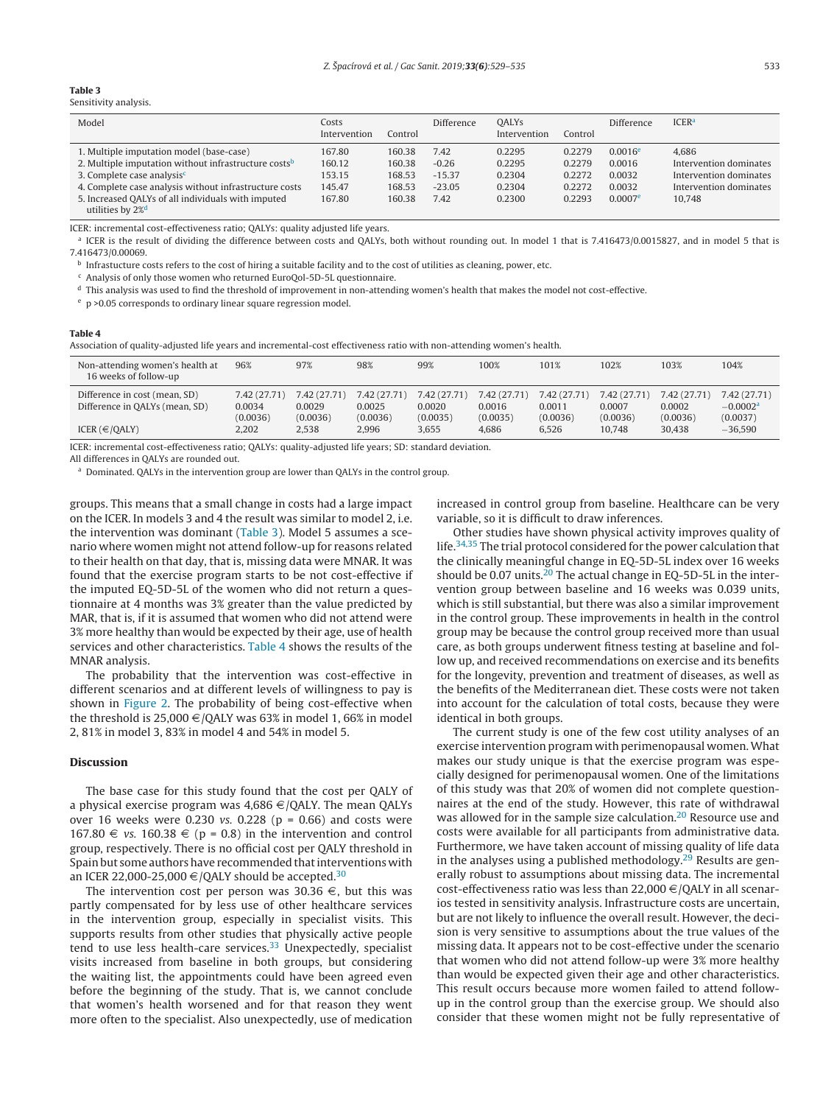#### <span id="page-4-0"></span>**Table 3**

Sensitivity analysis.

| Model                                                            | Costs<br>Intervention | Control | Difference | <b>OALYs</b><br>Intervention | Control | Difference            | <b>ICER</b> <sup>a</sup> |
|------------------------------------------------------------------|-----------------------|---------|------------|------------------------------|---------|-----------------------|--------------------------|
| 1. Multiple imputation model (base-case)                         | 167.80                | 160.38  | 7.42       | 0.2295                       | 0.2279  | $0.0016$ <sup>e</sup> | 4.686                    |
| 2. Multiple imputation without infrastructure costs <sup>b</sup> | 160.12                | 160.38  | $-0.26$    | 0.2295                       | 0.2279  | 0.0016                | Intervention dominates   |
| 3. Complete case analysis <sup>c</sup>                           | 153.15                | 168.53  | $-15.37$   | 0.2304                       | 0.2272  | 0.0032                | Intervention dominates   |
| 4. Complete case analysis without infrastructure costs           | 145.47                | 168.53  | $-23.05$   | 0.2304                       | 0.2272  | 0.0032                | Intervention dominates   |
| 5. Increased QALYs of all individuals with imputed               | 167.80                | 160.38  | 7.42       | 0.2300                       | 0.2293  | $0.0007$ <sup>e</sup> | 10.748                   |
| utilities by 2% <sup>d</sup>                                     |                       |         |            |                              |         |                       |                          |

ICER: incremental cost-effectiveness ratio; QALYs: quality adjusted life years.

<sup>a</sup> ICER is the result of dividing the difference between costs and QALYs, both without rounding out. In model 1 that is 7.416473/0.0015827, and in model 5 that is 7.416473/0.00069.

 $<sup>b</sup>$  Infrastucture costs refers to the cost of hiring a suitable facility and to the cost of utilities as cleaning, power, etc.</sup>

 $c$  Analysis of only those women who returned EuroQol-5D-5L questionnaire.

<sup>d</sup> This analysis was used to find the threshold of improvement in non-attending women's health that makes the model not cost-effective.

<sup>e</sup> p >0.05 corresponds to ordinary linear square regression model.

#### **Table 4**

Association of quality-adjusted life years and incremental-cost effectiveness ratio with non-attending women's health.

| Non-attending women's health at<br>16 weeks of follow-up | 96%          | 97%          | 98%         | 99%          | 100%         | 101%         | 102%         | 103%        | 104%         |
|----------------------------------------------------------|--------------|--------------|-------------|--------------|--------------|--------------|--------------|-------------|--------------|
| Difference in cost (mean, SD)                            | 7.42 (27.71) | 7.42 (27.71) | 7.42(27.71) | 7.42 (27.71) | 7.42 (27.71) | 7.42 (27.71) | 7.42 (27.71) | 7.42(27.71) | 7.42 (27.71) |
| Difference in QALYs (mean, SD)                           | 0.0034       | 0.0029       | 0.0025      | 0.0020       | 0.0016       | 0.0011       | 0.0007       | 0.0002      | $-0.0002a$   |
|                                                          | (0.0036)     | (0.0036)     | (0.0036)    | (0.0035)     | (0.0035)     | (0.0036)     | (0.0036)     | (0.0036)    | (0.0037)     |
| ICER $(\in$ /QALY)                                       | 2,202        | 2.538        | 2.996       | 3.655        | 4.686        | 6.526        | 10.748       | 30,438      | $-36.590$    |
|                                                          |              |              |             |              |              |              |              |             |              |

ICER: incremental cost-effectiveness ratio; QALYs: quality-adjusted life years; SD: standard deviation.

All differences in QALYs are rounded out.

a Dominated. QALYs in the intervention group are lower than QALYs in the control group.

groups. This means that a small change in costs had a large impact on the ICER. In models 3 and 4 the result was similar to model 2, i.e. the intervention was dominant (Table 3). Model 5 assumes a scenario where women might not attend follow-up for reasons related to their health on that day, that is, missing data were MNAR. It was found that the exercise program starts to be not cost-effective if the imputed EQ-5D-5L of the women who did not return a questionnaire at 4 months was 3% greater than the value predicted by MAR, that is, if it is assumed that women who did not attend were 3% more healthy than would be expected by their age, use of health services and other characteristics. Table 4 shows the results of the MNAR analysis.

The probability that the intervention was cost-effective in different scenarios and at different levels of willingness to pay is shown in [Figure](#page-5-0) 2. The probability of being cost-effective when the threshold is 25,000  $\in$  /QALY was 63% in model 1, 66% in model 2, 81% in model 3, 83% in model 4 and 54% in model 5.

## **Discussion**

The base case for this study found that the cost per QALY of a physical exercise program was  $4,686 \in /QALY$ . The mean QALYs over 16 weeks were 0.230 *vs.* 0.228 ( $p = 0.66$ ) and costs were 167.80  $\in$  vs. 160.38  $\in$  (p = 0.8) in the intervention and control group, respectively. There is no official cost per QALY threshold in Spain but some authors have recommended that interventions with an ICER 22,000-25,000  $\in$  /QALY should be accepted.<sup>30</sup>

The intervention cost per person was 30.36  $\in$ , but this was partly compensated for by less use of other healthcare services in the intervention group, especially in specialist visits. This supports results from other studies that physically active people tend to use less health-care services.<sup>33</sup> Unexpectedly, specialist visits increased from baseline in both groups, but considering the waiting list, the appointments could have been agreed even before the beginning of the study. That is, we cannot conclude that women's health worsened and for that reason they went more often to the specialist. Also unexpectedly, use of medication increased in control group from baseline. Healthcare can be very variable, so it is difficult to draw inferences.

Other studies have shown physical activity improves quality of life[.34,35](#page-6-0) The trial protocol considered for the power calculation that the clinically meaningful change in EQ-5D-5L index over 16 weeks should be 0.07 units.<sup>20</sup> The actual change in EQ-5D-5L in the intervention group between baseline and 16 weeks was 0.039 units, which is still substantial, but there was also a similar improvement in the control group. These improvements in health in the control group may be because the control group received more than usual care, as both groups underwent fitness testing at baseline and follow up, and received recommendations on exercise and its benefits for the longevity, prevention and treatment of diseases, as well as the benefits of the Mediterranean diet. These costs were not taken into account for the calculation of total costs, because they were identical in both groups.

The current study is one of the few cost utility analyses of an exercise intervention program with perimenopausal women.What makes our study unique is that the exercise program was especially designed for perimenopausal women. One of the limitations of this study was that 20% of women did not complete questionnaires at the end of the study. However, this rate of withdrawal was allowed for in the sample size calculation[.20](#page-6-0) Resource use and costs were available for all participants from administrative data. Furthermore, we have taken account of missing quality of life data in the analyses using a published methodology.<sup>[29](#page-6-0)</sup> Results are generally robust to assumptions about missing data. The incremental cost-effectiveness ratio was less than 22,000  $\in$  /QALY in all scenarios tested in sensitivity analysis. Infrastructure costs are uncertain, but are not likely to influence the overall result. However, the decision is very sensitive to assumptions about the true values of the missing data. It appears not to be cost-effective under the scenario that women who did not attend follow-up were 3% more healthy than would be expected given their age and other characteristics. This result occurs because more women failed to attend followup in the control group than the exercise group. We should also consider that these women might not be fully representative of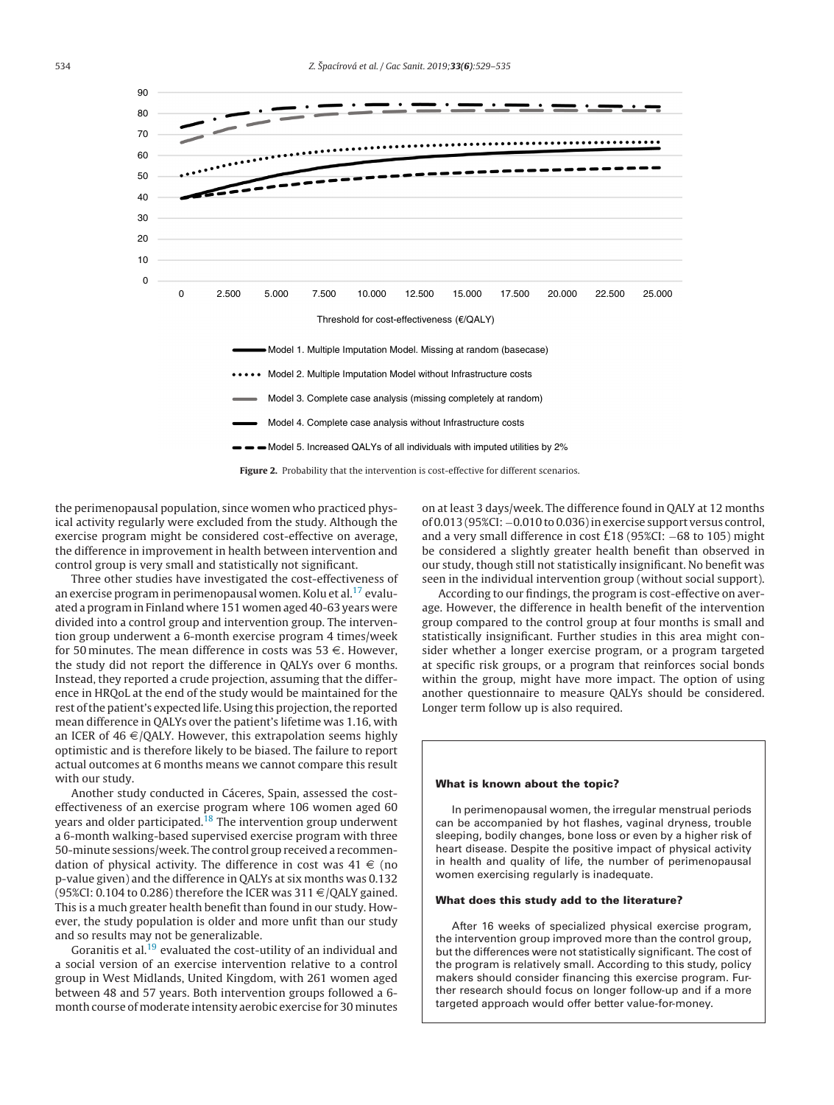<span id="page-5-0"></span>

the perimenopausal population, since women who practiced physical activity regularly were excluded from the study. Although the exercise program might be considered cost-effective on average, the difference in improvement in health between intervention and

control group is very small and statistically not significant. Three other studies have investigated the cost-effectiveness of an exercise program in perimenopausal women. Kolu et al.<sup>17</sup> evaluated a programin Finland where 151 women aged 40-63 years were divided into a control group and intervention group. The intervention group underwent a 6-month exercise program 4 times/week for 50 minutes. The mean difference in costs was 53  $\in$ . However, the study did not report the difference in QALYs over 6 months. Instead, they reported a crude projection, assuming that the difference in HRQoL at the end of the study would be maintained for the rest of the patient's expected life. Using this projection, the reported mean difference in QALYs over the patient's lifetime was 1.16, with an ICER of 46  $\in$  /QALY. However, this extrapolation seems highly optimistic and is therefore likely to be biased. The failure to report actual outcomes at 6 months means we cannot compare this result with our study.

Another study conducted in Cáceres, Spain, assessed the costeffectiveness of an exercise program where 106 women aged 60 years and older participated.<sup>[18](#page-6-0)</sup> The intervention group underwent a 6-month walking-based supervised exercise program with three 50-minute sessions/week. The control group received a recommendation of physical activity. The difference in cost was  $41 \in \{no\}$ p-value given) and the difference in QALYs at six months was 0.132 (95%CI: 0.104 to 0.286) therefore the ICER was 311  $\in$  /QALY gained. This is a much greater health benefit than found in our study. However, the study population is older and more unfit than our study and so results may not be generalizable.

Goranitis et al.<sup>19</sup> evaluated the cost-utility of an individual and a social version of an exercise intervention relative to a control group in West Midlands, United Kingdom, with 261 women aged between 48 and 57 years. Both intervention groups followed a 6 month course of moderate intensity aerobic exercise for 30 minutes

on at least 3 days/week. The difference found in QALY at 12 months of 0.013 (95%CI: −0.010 to 0.036)in exercise support versus control, and <sup>a</sup> very small difference in cost £<sup>18</sup> (95%CI: <sup>−</sup><sup>68</sup> to 105) might be considered a slightly greater health benefit than observed in our study, though still not statistically insignificant. No benefit was seen in the individual intervention group (without social support).

According to our findings, the program is cost-effective on average. However, the difference in health benefit of the intervention group compared to the control group at four months is small and statistically insignificant. Further studies in this area might consider whether a longer exercise program, or a program targeted at specific risk groups, or a program that reinforces social bonds within the group, might have more impact. The option of using another questionnaire to measure QALYs should be considered. Longer term follow up is also required.

#### **What is known about the topic?**

In perimenopausal women, the irregular menstrual periods can be accompanied by hot flashes, vaginal dryness, trouble sleeping, bodily changes, bone loss or even by a higher risk of heart disease. Despite the positive impact of physical activity in health and quality of life, the number of perimenopausal women exercising regularly is inadequate.

#### **What does this study add to the literature?**

After 16 weeks of specialized physical exercise program, the intervention group improved more than the control group, but the differences were not statistically significant. The cost of the program is relatively small. According to this study, policy makers should consider financing this exercise program. Further research should focus on longer follow-up and if a more targeted approach would offer better value-for-money.